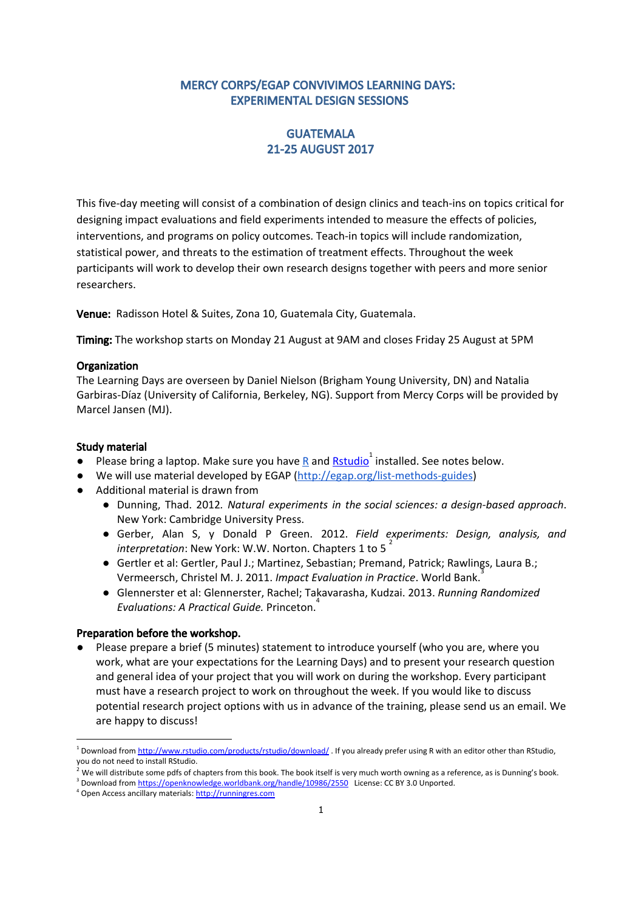## MERCY CORPS/EGAP CONVIVIMOS LEARNING DAYS: EXPERIMENTAL DESIGN SESSIONS

## GUATEMALA 21-25 AUGUST 2017

This five-day meeting will consist of a combination of design clinics and teach-ins on topics critical for designing impact evaluations and field experiments intended to measure the effects of policies, interventions, and programs on policy outcomes. Teach-in topics will include randomization, statistical power, and threats to the estimation of treatment effects. Throughout the week participants will work to develop their own research designs together with peers and more senior researchers.

Venue: Radisson Hotel & Suites, Zona 10, Guatemala City, Guatemala.

Timing: The workshop starts on Monday 21 August at 9AM and closes Friday 25 August at 5PM

#### **Organization**

The Learning Days are overseen by Daniel Nielson (Brigham Young University, DN) and Natalia Garbiras-Díaz (University of California, Berkeley, NG). Support from Mercy Corps will be provided by Marcel Jansen (MJ).

#### Study material

- Please bring a laptop. Make sure you have  $\underline{R}$  $\underline{R}$  $\underline{R}$  and  $\underline{Rstudio}^1$  $\underline{Rstudio}^1$  $\underline{Rstudio}^1$  installed. See notes below.
- We will use material developed by EGAP [\(http://egap.org/list-methods-guides\)](http://egap.org/list-methods-guides)
- Additional material is drawn from
	- Dunning, Thad. 2012*. Natural experiments in the social sciences: a design-based approach*. New York: Cambridge University Press.
	- Gerber, Alan S, y Donald P Green. 2012. *Field experiments: Design, analysis, and* 2 *interpretation*: New York: W.W. Norton. Chapters 1 to 5
	- Gertler et al: Gertler, Paul J.; Martinez, Sebastian; Premand, Patrick; Rawlings, Laura B.; Vermeersch, Christel M. J. 2011. *Impact Evaluation in Practice*. World Bank.
	- Glennerster et al: Glennerster, Rachel; Takavarasha, Kudzai. 2013. *Running Randomized Evaluations: A Practical Guide.* Princeton. 4

#### Preparation before the workshop.

● Please prepare a brief (5 minutes) statement to introduce yourself (who you are, where you work, what are your expectations for the Learning Days) and to present your research question and general idea of your project that you will work on during the workshop. Every participant must have a research project to work on throughout the week. If you would like to discuss potential research project options with us in advance of the training, please send us an email. We are happy to discuss!

<sup>&</sup>lt;sup>1</sup> Download from <http://www.rstudio.com/products/rstudio/download/> . If you already prefer using R with an editor other than RStudio, you do not need to install RStudio.

 $^2$  We will distribute some pdfs of chapters from this book. The book itself is very much worth owning as a reference, as is Dunning's book.

<sup>&</sup>lt;sup>3</sup> Download from <https://openknowledge.worldbank.org/handle/10986/2550> License: CC BY 3.0 Unported.

<sup>4</sup> Open Access ancillary materials: [http://runningres.com](http://runningres.com/)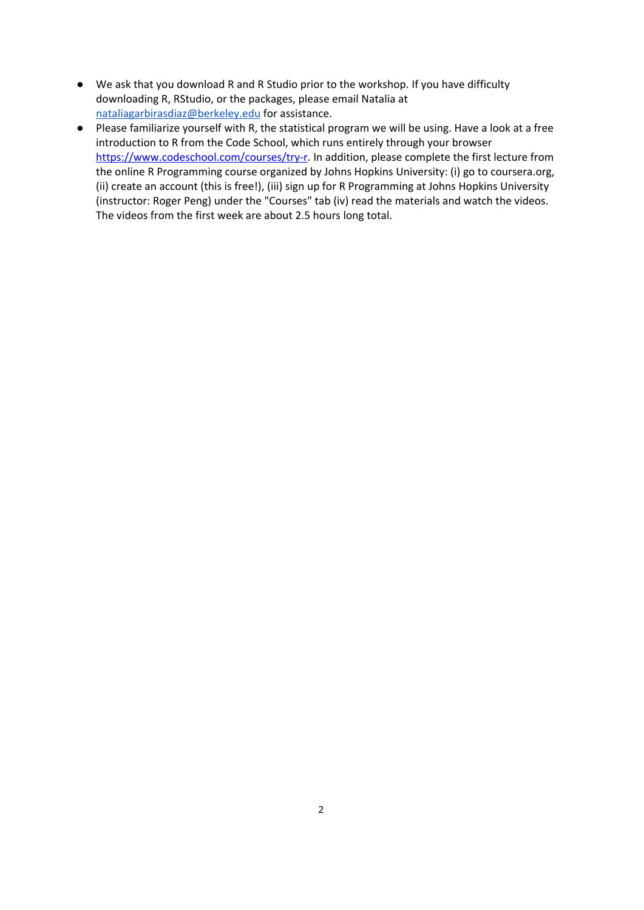- We ask that you download R and R Studio prior to the workshop. If you have difficulty downloading R, RStudio, or the packages, please email Natalia at [nataliagarbirasdiaz@berkeley.edu](mailto:nataliagarbirasdiaz@berkeley.edu) for assistance.
- Please familiarize yourself with R, the statistical program we will be using. Have a look at a free introduction to R from the Code School, which runs entirely through your browser [https://www.codeschool.com/courses/try-r.](https://www.codeschool.com/courses/try-r) In addition, please complete the first lecture from the online R Programming course organized by Johns Hopkins University: (i) go to coursera.org, (ii) create an account (this is free!), (iii) sign up for R Programming at Johns Hopkins University (instructor: Roger Peng) under the "Courses" tab (iv) read the materials and watch the videos. The videos from the first week are about 2.5 hours long total.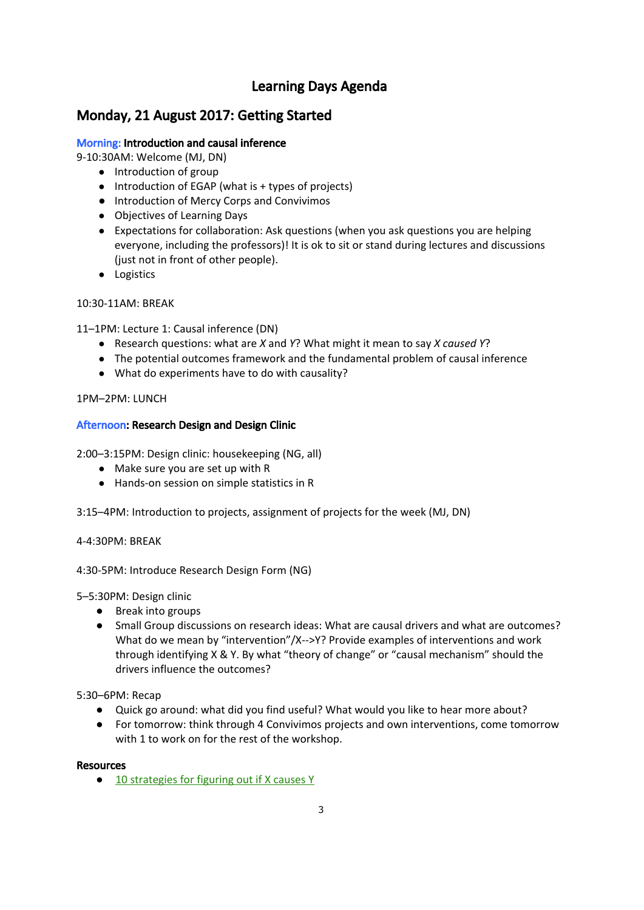# Learning Days Agenda

# Monday, 21 August 2017: Getting Started

## Morning: Introduction and causal inference

9-10:30AM: Welcome (MJ, DN)

- Introduction of group
- Introduction of EGAP (what is + types of projects)
- Introduction of Mercy Corps and Convivimos
- Objectives of Learning Days
- Expectations for collaboration: Ask questions (when you ask questions you are helping everyone, including the professors)! It is ok to sit or stand during lectures and discussions (just not in front of other people).
- Logistics

### 10:30-11AM: BREAK

11–1PM: Lecture 1: Causal inference (DN)

- Research questions: what are *X* and *Y*? What might it mean to say *X caused Y*?
- The potential outcomes framework and the fundamental problem of causal inference
- What do experiments have to do with causality?

### 1PM–2PM: LUNCH

### Afternoon: Research Design and Design Clinic

2:00–3:15PM: Design clinic: housekeeping (NG, all)

- Make sure you are set up with [R](http://www.r-project.org/)
- Hands-on session on simple statistics in R

3:15–4PM: Introduction to projects, assignment of projects for the week (MJ, DN)

4-4:30PM: BREAK

4:30-5PM: Introduce Research Design Form (NG)

5–5:30PM: Design clinic

- Break into groups
- Small Group discussions on research ideas: What are causal drivers and what are outcomes? What do we mean by "intervention"/X-->Y? Provide examples of interventions and work through identifying X & Y. By what "theory of change" or "causal mechanism" should the drivers influence the outcomes?

5:30–6PM: Recap

- Quick go around: what did you find useful? What would you like to hear more about?
- For tomorrow: think through 4 Convivimos projects and own interventions, come tomorrow with 1 to work on for the rest of the workshop.

### **Resources**

● 10 [strategies](http://egap.org/methods-guides/10-strategies-figuring-out-if-x-caused-y) for figuring out if X causes Y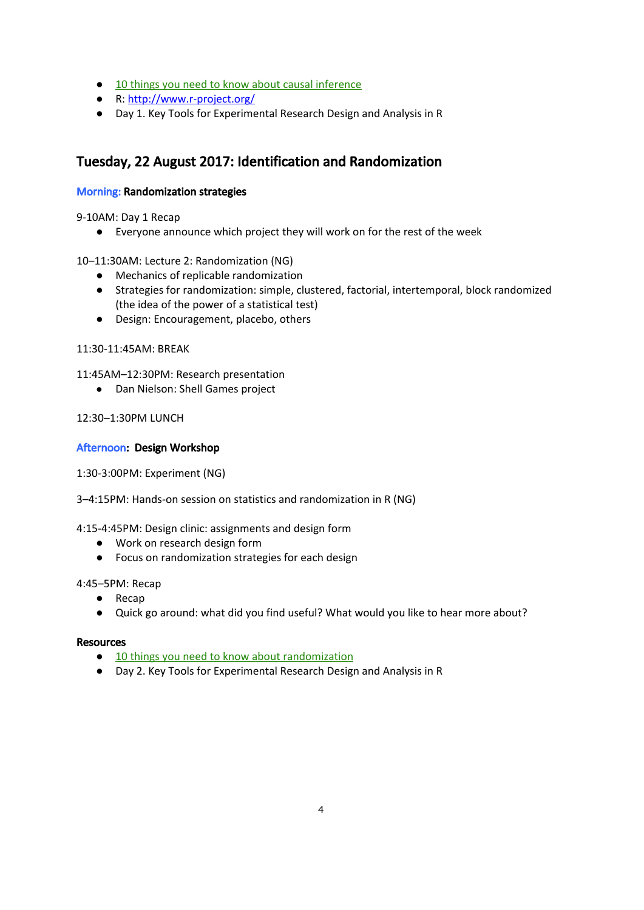- 10 things you need to know about causal [inference](http://egap.org/methods-guides/10-things-you-need-know-about-causal-inference)
- R: <http://www.r-project.org/>
- Day 1. Key Tools for Experimental Research Design and Analysis in R

# Tuesday, 22 August 2017: Identification and Randomization

### Morning: Randomization strategies

9-10AM: Day 1 Recap

● Everyone announce which project they will work on for the rest of the week

10–11:30AM: Lecture 2: Randomization (NG)

- Mechanics of replicable randomization
- Strategies for randomization: simple, clustered, factorial, intertemporal, block randomized (the idea of the power of a statistical test)
- Design: Encouragement, placebo, others

11:30-11:45AM: BREAK

11:45AM–12:30PM: Research presentation

● Dan Nielson: Shell Games project

12:30–1:30PM LUNCH

### Afternoon: Design Workshop

1:30-3:00PM: Experiment (NG)

3–4:15PM: Hands-on session on statistics and randomization in R (NG)

4:15-4:45PM: Design clinic: assignments and design form

- Work on research design form
- Focus on randomization strategies for each design

#### 4:45–5PM: Recap

- Recap
- Quick go around: what did you find useful? What would you like to hear more about?

### Resources

- 10 things you need to know about [randomization](http://egap.org/resources/guides/randomization/)
- Day 2. Key Tools for Experimental Research Design and Analysis in R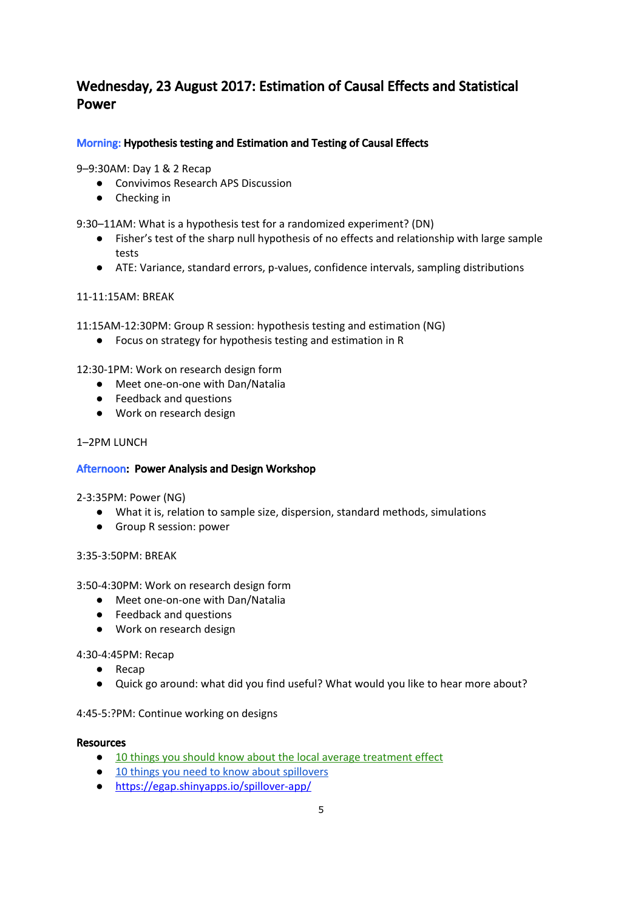# Wednesday, 23 August 2017: Estimation of Causal Effects and Statistical Power

## Morning: Hypothesis testing and Estimation and Testing of Causal Effects

9–9:30AM: Day 1 & 2 Recap

- Convivimos Research APS Discussion
- Checking in

9:30–11AM: What is a hypothesis test for a randomized experiment? (DN)

- Fisher's test of the sharp null hypothesis of no effects and relationship with large sample tests
- ATE: Variance, standard errors, p-values, confidence intervals, sampling distributions

### 11-11:15AM: BREAK

11:15AM-12:30PM: Group R session: hypothesis testing and estimation (NG)

● Focus on strategy for hypothesis testing and estimation in R

12:30-1PM: Work on research design form

- Meet one-on-one with Dan/Natalia
- Feedback and questions
- Work on research design

### 1–2PM LUNCH

### Afternoon: Power Analysis and Design Workshop

2-3:35PM: Power (NG)

- What it is, relation to sample size, dispersion, standard methods, simulations
- Group R session: power

### 3:35-3:50PM: BREAK

3:50-4:30PM: Work on research design form

- Meet one-on-one with Dan/Natalia
- Feedback and questions
- Work on research design

4:30-4:45PM: Recap

- Recap
- Quick go around: what did you find useful? What would you like to hear more about?

4:45-5:?PM: Continue working on designs

#### **Resources**

- 10 things you should know about the local average [treatment](http://egap.org/methods-guides/10-things-you-need-know-about-local-average-treatment-effect) effect
- 10 things you need to know about [spillovers](http://egap.org/methods-guides/10-things-you-need-know-about-spillovers)
- <https://egap.shinyapps.io/spillover-app/>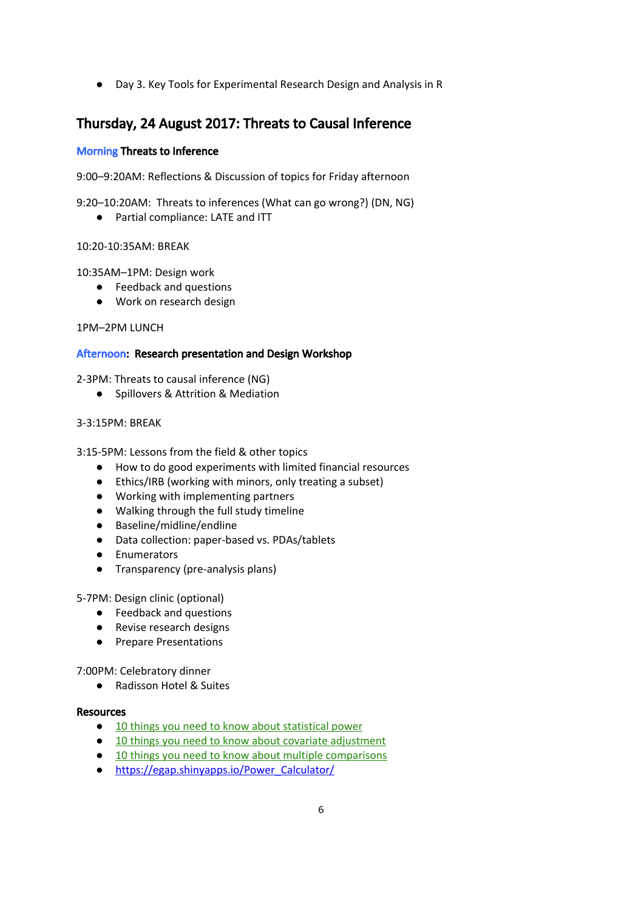● Day 3. Key Tools for Experimental Research Design and Analysis in R

# Thursday, 24 August 2017: Threats to Causal Inference

### Morning Threats to Inference

9:00–9:20AM: Reflections & Discussion of topics for Friday afternoon

9:20–10:20AM: Threats to inferences (What can go wrong?) (DN, NG)

● Partial compliance: LATE and ITT

### 10:20-10:35AM: BREAK

10:35AM–1PM: Design work

- Feedback and questions
- Work on research design

1PM–2PM LUNCH

### Afternoon: Research presentation and Design Workshop

2-3PM: Threats to causal inference (NG)

● Spillovers & Attrition & Mediation

### 3-3:15PM: BREAK

3:15-5PM: Lessons from the field & other topics

- How to do good experiments with limited financial resources
- Ethics/IRB (working with minors, only treating a subset)
- Working with implementing partners
- Walking through the full study timeline
- Baseline/midline/endline
- Data collection: paper-based vs. PDAs/tablets
- Enumerators
- Transparency (pre-analysis plans)

5-7PM: Design clinic (optional)

- Feedback and questions
- Revise research designs
- Prepare Presentations

7:00PM: Celebratory dinner

● Radisson Hotel & Suites

### **Resources**

- 10 things you need to know about [statistical](http://egap.org/methods-guides/10-things-you-need-know-about-statistical-power) power
- 10 things you need to know about covariate [adjustment](http://egap.org/methods-guides/10-things-know-about-covariate-adjustment)
- 10 things you need to know about multiple [comparisons](http://egap.org/methods-guides/10-things-you-need-know-about-multiple-comparisons)
- [https://egap.shinyapps.io/Power\\_Calculator/](https://egap.shinyapps.io/Power_Calculator/)